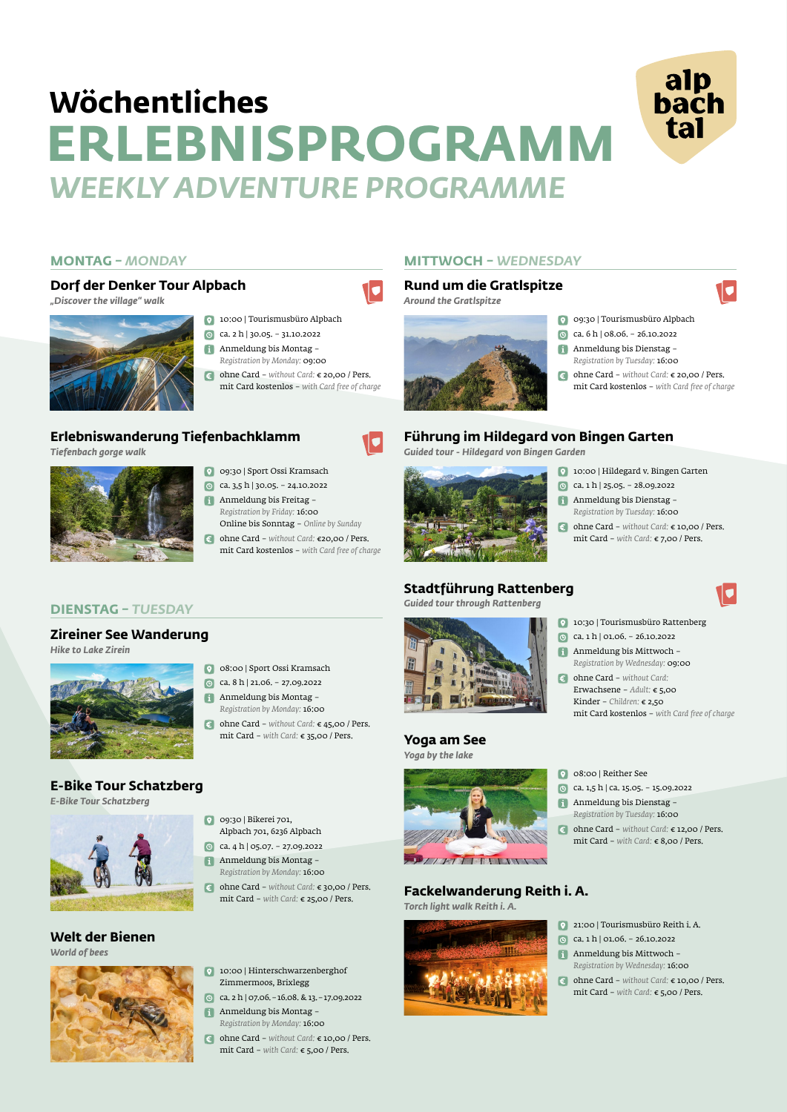#### **DIENSTAG** *– TUESDAY*

#### **MONTAG** *– MONDAY* **MITTWOCH** *– WEDNESDAY*

- 10:00 | Tourismusbüro Alpbach
- ca. 2 h | 30.05. 31.10.2022  $\Theta$
- Anmeldung bis Montag *Registration by Monday:* 09:00
- ohne Card *without Card:* € 20,00 / Pers. mit Card kostenlos – *with Card free of charge*
- 0 09:30 | Tourismusbüro Alpbach
- ca. 6 h | 08.06. 26.10.2022
- Anmeldung bis Dienstag *Registration by Tuesday:* 16:00
- ohne Card *without Card:* € 20,00 / Pers.  $\epsilon$ mit Card kostenlos – *with Card free of charge*

alp<br>bach

tal

- Online bis Sonntag *Online by Sunday*
- 10
- 09:30 | Sport Ossi Kramsach
- ca. 3,5 h | 30.05. 24.10.2022 Anmeldung bis Freitag – *Registration by Friday:* 16:00
- ohne Card *without Card:* €20,00 / Pers.  $\epsilon$ mit Card kostenlos – *with Card free of charge*
- 10:00 | Hildegard v. Bingen Garten
- ca. 1 h | 25.05. 28.09.2022
- Anmeldung bis Dienstag *Registration by Tuesday:* 16:00
- ohne Card *without Card:* € 10,00 / Pers. mit Card – *with Card:* € 7,00 / Pers.

mit Card – *with Card:* € 8,00 / Pers.

21:00 | Tourismusbüro Reith i. A.  $\boxed{0}$  ca. 1 h | 01.06. - 26.10.2022 Anmeldung bis Mittwoch – *Registration by Wednesday:* 16:00  $\epsilon$ ohne Card – *without Card:* € 10,00 / Pers. mit Card – *with Card:* € 5,00 / Pers.

08:00 | Sport Ossi Kramsach ca. 8 h | 21.06. – 27.09.2022 Anmeldung bis Montag – *Registration by Monday:* 16:00

ohne Card – *without Card:* € 45,00 / Pers. mit Card – *with Card:* € 35,00 / Pers.

09:30 | Bikerei 701, Alpbach 701, 6236 Alpbach

- ca. 4 h | 05.07. 27.09.2022
- Anmeldung bis Montag *Registration by Monday:* 16:00
- ohne Card *without Card:* € 30,00 / Pers. mit Card – *with Card:* € 25,00 / Pers.

- 10:00 | Hinterschwarzenberghof Zimmermoos, Brixlegg
- ca. 2 h | 07.06.–16.08. & 13.–17.09.2022
- Anmeldung bis Montag *Registration by Monday:* 16:00
- ohne Card *without Card:* € 10,00 / Pers. mit Card – *with Card:* € 5,00 / Pers.



#### **Dorf der Denker Tour Alpbach**

*"Discover the village" walk*



#### **Rund um die Gratlspitze**

*Around the Gratlspitze*



### **Erlebniswanderung Tiefenbachklamm**

*Tiefenbach gorge walk*



### **Führung im Hildegard von Bingen Garten**

*Guided tour - Hildegard von Bingen Garden*



### **Stadtführung Rattenberg**

*Guided tour through Rattenberg*

#### **Yoga am See** *Yoga by the lake*



- **0** 10:30 | Tourismusbüro Rattenberg
- $\bullet$ ca. 1 h | 01.06. – 26.10.2022
- Anmeldung bis Mittwoch *Registration by Wednesday:* 09:00
- ohne Card *without Card:*  Erwachsene – *Adult:* € 5,00 Kinder – *Children:* € 2,50 mit Card kostenlos – *with Card free of charge*
- 08:00 | Reither See
- ca. 1,5 h | ca. 15.05. 15.09.2022
- Anmeldung bis Dienstag *Registration by Tuesday:* 16:00
- ohne Card *without Card:* € 12,00 / Pers.  $\epsilon$

#### **Fackelwanderung Reith i. A.**

*Torch light walk Reith i. A.*



#### **Zireiner See Wanderung**

*Hike to Lake Zirein*



### **E-Bike Tour Schatzberg**

*E-Bike Tour Schatzberg*





*World of bees*



# **ERLEBNISPROGRAMM** *WEEKLY ADVENTURE PROGRAMME* **Wöchentliches**